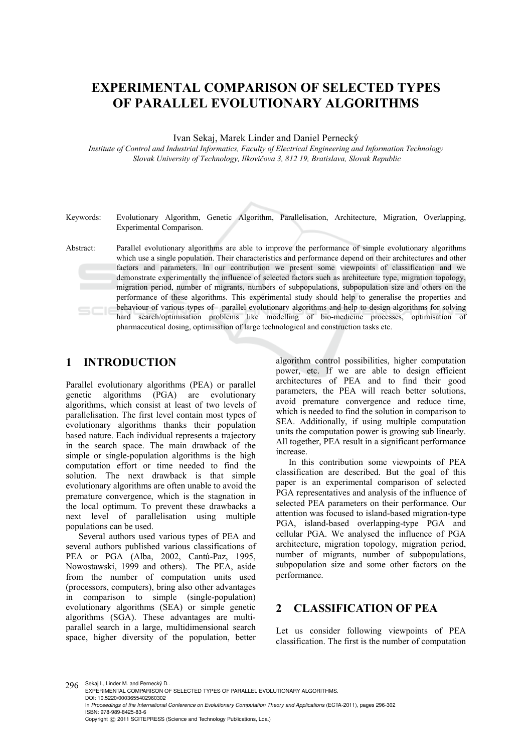# **EXPERIMENTAL COMPARISON OF SELECTED TYPES OF PARALLEL EVOLUTIONARY ALGORITHMS**

Ivan Sekaj, Marek Linder and Daniel Pernecký

*Institute of Control and Industrial Informatics, Faculty of Electrical Engineering and Information Technology Slovak University of Technology, Ilkovičova 3, 812 19, Bratislava, Slovak Republic* 

Keywords: Evolutionary Algorithm, Genetic Algorithm, Parallelisation, Architecture, Migration, Overlapping, Experimental Comparison.

Abstract: Parallel evolutionary algorithms are able to improve the performance of simple evolutionary algorithms which use a single population. Their characteristics and performance depend on their architectures and other factors and parameters. In our contribution we present some viewpoints of classification and we demonstrate experimentally the influence of selected factors such as architecture type, migration topology, migration period, number of migrants, numbers of subpopulations, subpopulation size and others on the performance of these algorithms. This experimental study should help to generalise the properties and behaviour of various types of parallel evolutionary algorithms and help to design algorithms for solving hard search/optimisation problems like modelling of bio-medicine processes, optimisation of pharmaceutical dosing, optimisation of large technological and construction tasks etc.

## **1 INTRODUCTION**

Parallel evolutionary algorithms (PEA) or parallel genetic algorithms (PGA) are evolutionary algorithms, which consist at least of two levels of parallelisation. The first level contain most types of evolutionary algorithms thanks their population based nature. Each individual represents a trajectory in the search space. The main drawback of the simple or single-population algorithms is the high computation effort or time needed to find the solution. The next drawback is that simple evolutionary algorithms are often unable to avoid the premature convergence, which is the stagnation in the local optimum. To prevent these drawbacks a next level of parallelisation using multiple populations can be used.

Several authors used various types of PEA and several authors published various classifications of PEA or PGA (Alba, 2002, Cantú-Paz, 1995, Nowostawski, 1999 and others). The PEA, aside from the number of computation units used (processors, computers), bring also other advantages in comparison to simple (single-population) evolutionary algorithms (SEA) or simple genetic algorithms (SGA). These advantages are multiparallel search in a large, multidimensional search space, higher diversity of the population, better

algorithm control possibilities, higher computation power, etc. If we are able to design efficient architectures of PEA and to find their good parameters, the PEA will reach better solutions, avoid premature convergence and reduce time, which is needed to find the solution in comparison to SEA. Additionally, if using multiple computation units the computation power is growing sub linearly. All together, PEA result in a significant performance increase.

In this contribution some viewpoints of PEA classification are described. But the goal of this paper is an experimental comparison of selected PGA representatives and analysis of the influence of selected PEA parameters on their performance. Our attention was focused to island-based migration-type PGA, island-based overlapping-type PGA and cellular PGA. We analysed the influence of PGA architecture, migration topology, migration period, number of migrants, number of subpopulations, subpopulation size and some other factors on the performance.

## **2 CLASSIFICATION OF PEA**

Let us consider following viewpoints of PEA classification. The first is the number of computation

296 Sekaj I., Linder M. and Pernecký D. EXPERIMENTAL COMPARISON OF SELECTED TYPES OF PARALLEL EVOLUTIONARY ALGORITHMS. DOI: 10.5220/0003655402960302 In *Proceedings of the International Conference on Evolutionary Computation Theory and Applications* (ECTA-2011), pages 296-302 ISBN: 978-989-8425-83-6 Copyright © 2011 SCITEPRESS (Science and Technology Publications, Lda.)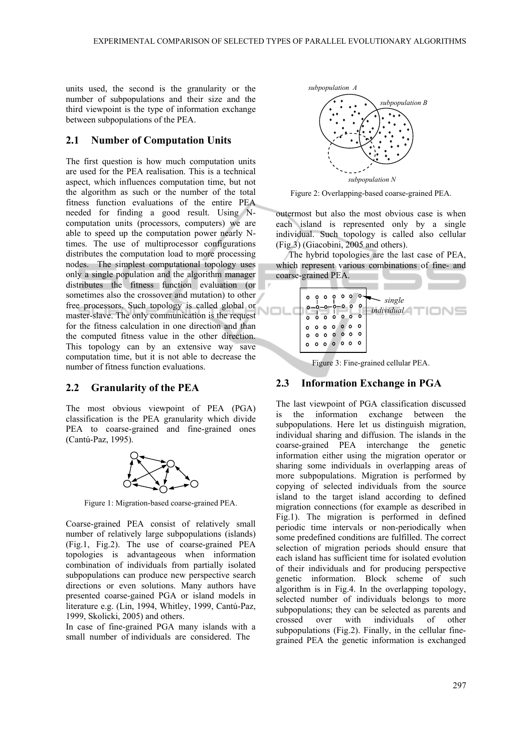units used, the second is the granularity or the number of subpopulations and their size and the third viewpoint is the type of information exchange between subpopulations of the PEA.

#### **2.1 Number of Computation Units**

The first question is how much computation units are used for the PEA realisation. This is a technical aspect, which influences computation time, but not the algorithm as such or the number of the total fitness function evaluations of the entire PEA needed for finding a good result. Using Ncomputation units (processors, computers) we are able to speed up the computation power nearly Ntimes. The use of multiprocessor configurations distributes the computation load to more processing nodes. The simplest computational topology uses only a single population and the algorithm manager distributes the fitness function evaluation (or sometimes also the crossover and mutation) to other free processors. Such topology is called global or master-slave. The only communication is the request for the fitness calculation in one direction and than the computed fitness value in the other direction. This topology can by an extensive way save computation time, but it is not able to decrease the number of fitness function evaluations.

#### **2.2 Granularity of the PEA**

The most obvious viewpoint of PEA (PGA) classification is the PEA granularity which divide PEA to coarse-grained and fine-grained ones (Cantú-Paz, 1995).



Figure 1: Migration-based coarse-grained PEA.

Coarse-grained PEA consist of relatively small number of relatively large subpopulations (islands) (Fig.1, Fig.2). The use of coarse-grained PEA topologies is advantageous when information combination of individuals from partially isolated subpopulations can produce new perspective search directions or even solutions. Many authors have presented coarse-gained PGA or island models in literature e.g. (Lin, 1994, Whitley, 1999, Cantú-Paz, 1999, Skolicki, 2005) and others.

In case of fine-grained PGA many islands with a small number of individuals are considered. The



Figure 2: Overlapping-based coarse-grained PEA.

outermost but also the most obvious case is when each island is represented only by a single individual. Such topology is called also cellular (Fig.3) (Giacobini, 2005 and others).

The hybrid topologies are the last case of PEA, which represent various combinations of fine- and coarse-grained PEA.



Figure 3: Fine-grained cellular PEA.

#### **2.3 Information Exchange in PGA**

The last viewpoint of PGA classification discussed is the information exchange between the subpopulations. Here let us distinguish migration, individual sharing and diffusion. The islands in the coarse-grained PEA interchange the genetic information either using the migration operator or sharing some individuals in overlapping areas of more subpopulations. Migration is performed by copying of selected individuals from the source island to the target island according to defined migration connections (for example as described in Fig.1). The migration is performed in defined periodic time intervals or non-periodically when some predefined conditions are fulfilled. The correct selection of migration periods should ensure that each island has sufficient time for isolated evolution of their individuals and for producing perspective genetic information. Block scheme of such algorithm is in Fig.4. In the overlapping topology, selected number of individuals belongs to more subpopulations; they can be selected as parents and crossed over with individuals of other subpopulations (Fig.2). Finally, in the cellular finegrained PEA the genetic information is exchanged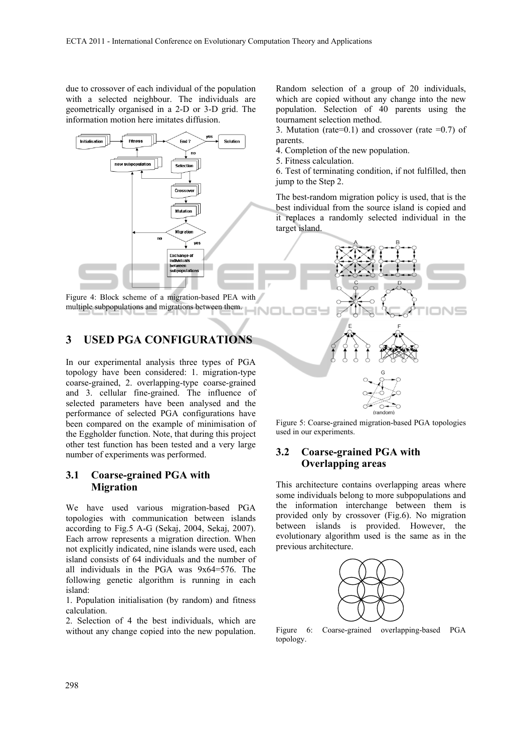due to crossover of each individual of the population with a selected neighbour. The individuals are geometrically organised in a 2-D or 3-D grid. The information motion here imitates diffusion.



Figure 4: Block scheme of a migration-based PEA with multiple subpopulations and migrations between them.

## **3 USED PGA CONFIGURATIONS**

In our experimental analysis three types of PGA topology have been considered: 1. migration-type coarse-grained, 2. overlapping-type coarse-grained and 3. cellular fine-grained. The influence of selected parameters have been analysed and the performance of selected PGA configurations have been compared on the example of minimisation of the Eggholder function. Note, that during this project other test function has been tested and a very large number of experiments was performed.

#### **3.1 Coarse-grained PGA with Migration**

We have used various migration-based PGA topologies with communication between islands according to Fig.5 A-G (Sekaj, 2004, Sekaj, 2007). Each arrow represents a migration direction. When not explicitly indicated, nine islands were used, each island consists of 64 individuals and the number of all individuals in the PGA was 9x64=576. The following genetic algorithm is running in each island:

1. Population initialisation (by random) and fitness calculation.

2. Selection of 4 the best individuals, which are without any change copied into the new population.

Random selection of a group of 20 individuals, which are copied without any change into the new population. Selection of 40 parents using the tournament selection method.

3. Mutation (rate=0.1) and crossover (rate =0.7) of parents.

4. Completion of the new population.

5. Fitness calculation.

6. Test of terminating condition, if not fulfilled, then jump to the Step 2.

The best-random migration policy is used, that is the best individual from the source island is copied and it replaces a randomly selected individual in the target island.



Figure 5: Coarse-grained migration-based PGA topologies used in our experiments.

## **3.2 Coarse-grained PGA with Overlapping areas**

This architecture contains overlapping areas where some individuals belong to more subpopulations and the information interchange between them is provided only by crossover (Fig.6). No migration between islands is provided. However, the evolutionary algorithm used is the same as in the previous architecture.



Figure 6: Coarse-grained overlapping-based PGA topology.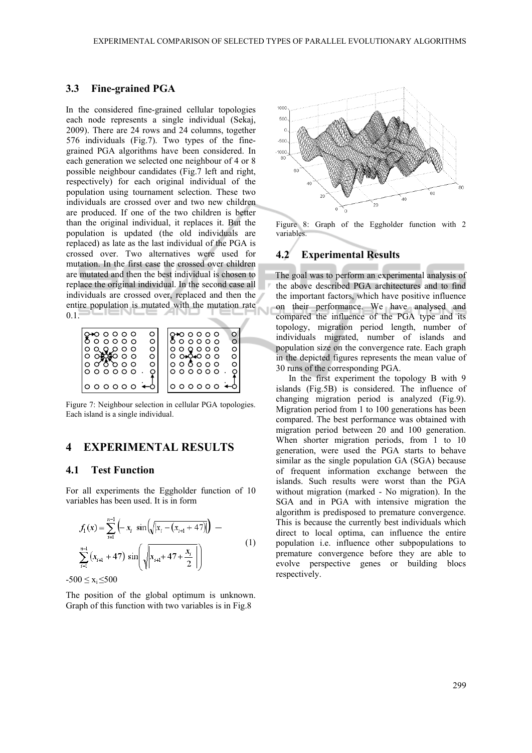Ù

#### **3.3 Fine-grained PGA**

In the considered fine-grained cellular topologies each node represents a single individual (Sekaj, 2009). There are 24 rows and 24 columns, together 576 individuals (Fig.7). Two types of the finegrained PGA algorithms have been considered. In each generation we selected one neighbour of 4 or 8 possible neighbour candidates (Fig.7 left and right, respectively) for each original individual of the population using tournament selection. These two individuals are crossed over and two new children are produced. If one of the two children is better than the original individual, it replaces it. But the population is updated (the old individuals are replaced) as late as the last individual of the PGA is crossed over. Two alternatives were used for mutation. In the first case the crossed over children are mutated and then the best individual is chosen to replace the original individual. In the second case all individuals are crossed over, replaced and then the entire population is mutated with the mutation rate 0.1.

| ⊷იიიი     |             |
|-----------|-------------|
| O         | Ω           |
| 000000    | o o o o o   |
| ∩         | ∩           |
| 0 0 0 0 0 | 00000       |
| ∩         | ∩           |
| റഞ്ഞ റ റ  | 0004000     |
| O         | 0           |
| σδροο     | o o ō o o o |
| $\circ$   | ∩           |
|           | 000000      |
| 00000     | o o o o o o |

Figure 7: Neighbour selection in cellular PGA topologies. Each island is a single individual.

## **4 EXPERIMENTAL RESULTS**

#### **4.1 Test Function**

For all experiments the Eggholder function of 10 variables has been used. It is in form

$$
f_1(x) = \sum_{i=1}^{n-1} \left( -x_i \sin\left(\sqrt{|x_i - (x_{i+1} + 47)|} \right) - \frac{1}{2} \left( x_{i+1} + 47 \right) \sin\left(\sqrt{|x_{i+1} + 47| + \frac{x_i}{2}|} \right) \right)
$$
(1)

 $-500 \le x_i \le 500$ 

The position of the global optimum is unknown. Graph of this function with two variables is in Fig.8



Figure 8: Graph of the Eggholder function with 2 variables.

#### **4.2 Experimental Results**

The goal was to perform an experimental analysis of the above described PGA architectures and to find the important factors, which have positive influence on their performance. We have analysed and compared the influence of the PGA type and its topology, migration period length, number of individuals migrated, number of islands and population size on the convergence rate. Each graph in the depicted figures represents the mean value of 30 runs of the corresponding PGA.

In the first experiment the topology B with 9 islands (Fig.5B) is considered. The influence of changing migration period is analyzed (Fig.9). Migration period from 1 to 100 generations has been compared. The best performance was obtained with migration period between 20 and 100 generation. When shorter migration periods, from 1 to 10 generation, were used the PGA starts to behave similar as the single population GA (SGA) because of frequent information exchange between the islands. Such results were worst than the PGA without migration (marked - No migration). In the SGA and in PGA with intensive migration the algorithm is predisposed to premature convergence. This is because the currently best individuals which direct to local optima, can influence the entire population i.e. influence other subpopulations to premature convergence before they are able to evolve perspective genes or building blocs respectively.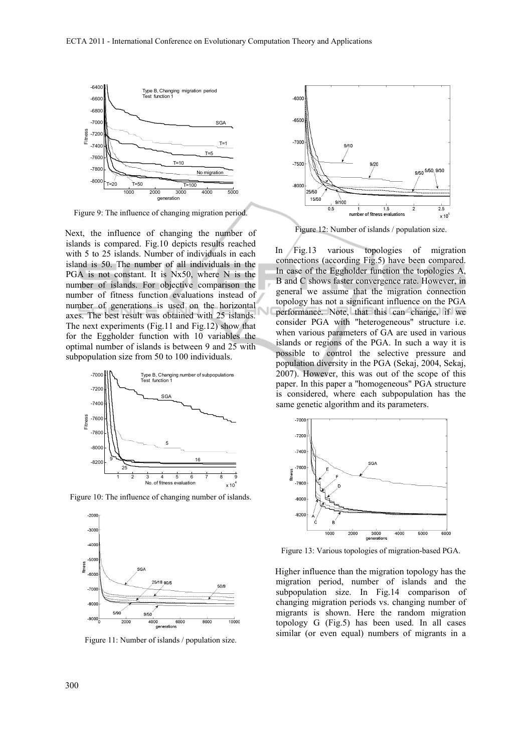

Figure 9: The influence of changing migration period.

Next, the influence of changing the number of islands is compared. Fig.10 depicts results reached with 5 to 25 islands. Number of individuals in each island is 50. The number of all individuals in the PGA is not constant. It is Nx50, where N is the number of islands. For objective comparison the number of fitness function evaluations instead of number of generations is used on the horizontal axes. The best result was obtained with 25 islands. The next experiments (Fig.11 and Fig.12) show that for the Eggholder function with 10 variables the optimal number of islands is between 9 and 25 with subpopulation size from 50 to 100 individuals.



Figure 10: The influence of changing number of islands.



Figure 11: Number of islands / population size.



Figure 12: Number of islands / population size.

In Fig.13 various topologies of migration connections (according Fig.5) have been compared. In case of the Eggholder function the topologies A, B and C shows faster convergence rate. However, in general we assume that the migration connection topology has not a significant influence on the PGA performance. Note, that this can change, if we consider PGA with "heterogeneous" structure i.e. when various parameters of GA are used in various islands or regions of the PGA. In such a way it is possible to control the selective pressure and population diversity in the PGA (Sekaj, 2004, Sekaj, 2007). However, this was out of the scope of this paper. In this paper a "homogeneous" PGA structure is considered, where each subpopulation has the same genetic algorithm and its parameters.



Figure 13: Various topologies of migration-based PGA.

Higher influence than the migration topology has the migration period, number of islands and the subpopulation size. In Fig.14 comparison of changing migration periods vs. changing number of migrants is shown. Here the random migration topology G (Fig.5) has been used. In all cases similar (or even equal) numbers of migrants in a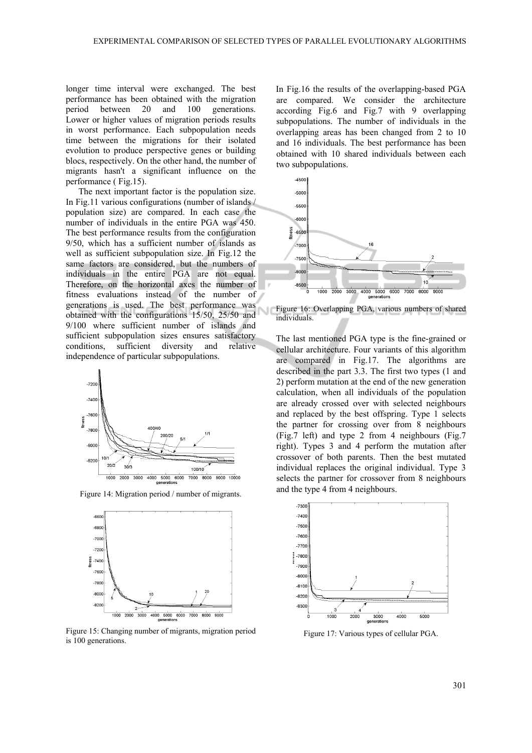longer time interval were exchanged. The best performance has been obtained with the migration period between 20 and 100 generations. Lower or higher values of migration periods results in worst performance. Each subpopulation needs time between the migrations for their isolated evolution to produce perspective genes or building blocs, respectively. On the other hand, the number of migrants hasn't a significant influence on the performance ( Fig.15).

The next important factor is the population size. In Fig.11 various configurations (number of islands / population size) are compared. In each case the number of individuals in the entire PGA was 450. The best performance results from the configuration 9/50, which has a sufficient number of islands as well as sufficient subpopulation size. In Fig.12 the same factors are considered, but the numbers of individuals in the entire PGA are not equal. Therefore, on the horizontal axes the number of fitness evaluations instead of the number of generations is used. The best performance was obtained with the configurations 15/50, 25/50 and 9/100 where sufficient number of islands and sufficient subpopulation sizes ensures satisfactory conditions, sufficient diversity and relative independence of particular subpopulations.



Figure 14: Migration period / number of migrants.



Figure 15: Changing number of migrants, migration period is 100 generations.

In Fig.16 the results of the overlapping-based PGA are compared. We consider the architecture according Fig.6 and Fig.7 with 9 overlapping subpopulations. The number of individuals in the overlapping areas has been changed from 2 to 10 and 16 individuals. The best performance has been obtained with 10 shared individuals between each two subpopulations.



Figure 16: Overlapping PGA, various numbers of shared individuals.

The last mentioned PGA type is the fine-grained or cellular architecture. Four variants of this algorithm are compared in Fig.17. The algorithms are described in the part 3.3. The first two types (1 and 2) perform mutation at the end of the new generation calculation, when all individuals of the population are already crossed over with selected neighbours and replaced by the best offspring. Type 1 selects the partner for crossing over from 8 neighbours (Fig.7 left) and type 2 from 4 neighbours (Fig.7 right). Types 3 and 4 perform the mutation after crossover of both parents. Then the best mutated individual replaces the original individual. Type 3 selects the partner for crossover from 8 neighbours and the type 4 from 4 neighbours.



Figure 17: Various types of cellular PGA.